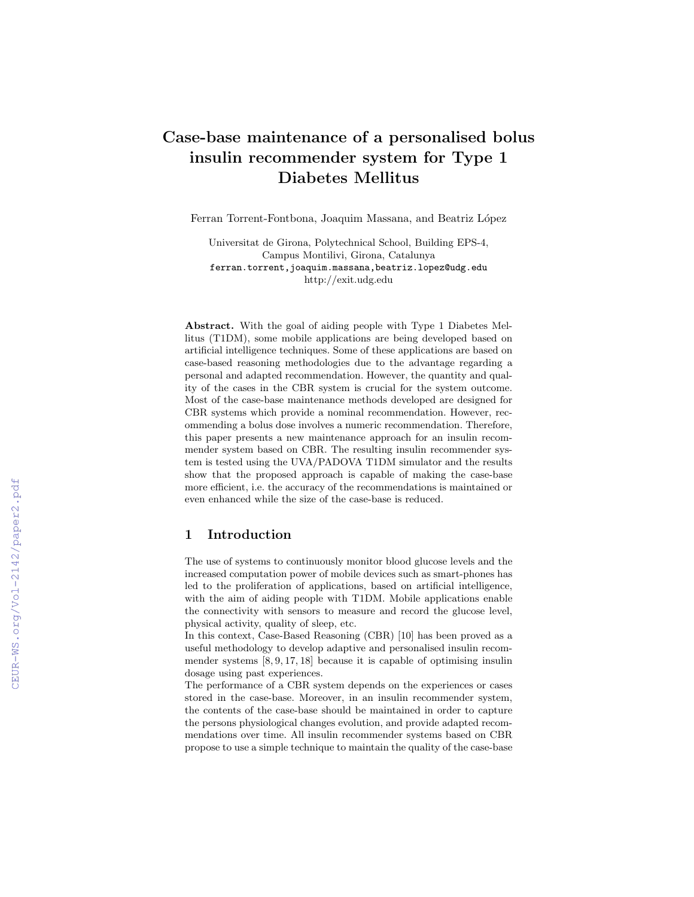# Case-base maintenance of a personalised bolus insulin recommender system for Type 1 Diabetes Mellitus

Ferran Torrent-Fontbona, Joaquim Massana, and Beatriz López

Universitat de Girona, Polytechnical School, Building EPS-4, Campus Montilivi, Girona, Catalunya ferran.torrent,joaquim.massana,beatriz.lopez@udg.edu http://exit.udg.edu

Abstract. With the goal of aiding people with Type 1 Diabetes Mellitus (T1DM), some mobile applications are being developed based on artificial intelligence techniques. Some of these applications are based on case-based reasoning methodologies due to the advantage regarding a personal and adapted recommendation. However, the quantity and quality of the cases in the CBR system is crucial for the system outcome. Most of the case-base maintenance methods developed are designed for CBR systems which provide a nominal recommendation. However, recommending a bolus dose involves a numeric recommendation. Therefore, this paper presents a new maintenance approach for an insulin recommender system based on CBR. The resulting insulin recommender system is tested using the UVA/PADOVA T1DM simulator and the results show that the proposed approach is capable of making the case-base more efficient, i.e. the accuracy of the recommendations is maintained or even enhanced while the size of the case-base is reduced.

### 1 Introduction

The use of systems to continuously monitor blood glucose levels and the increased computation power of mobile devices such as smart-phones has led to the proliferation of applications, based on artificial intelligence, with the aim of aiding people with T1DM. Mobile applications enable the connectivity with sensors to measure and record the glucose level, physical activity, quality of sleep, etc.

In this context, Case-Based Reasoning (CBR) [10] has been proved as a useful methodology to develop adaptive and personalised insulin recommender systems [8, 9, 17, 18] because it is capable of optimising insulin dosage using past experiences.

The performance of a CBR system depends on the experiences or cases stored in the case-base. Moreover, in an insulin recommender system, the contents of the case-base should be maintained in order to capture the persons physiological changes evolution, and provide adapted recommendations over time. All insulin recommender systems based on CBR propose to use a simple technique to maintain the quality of the case-base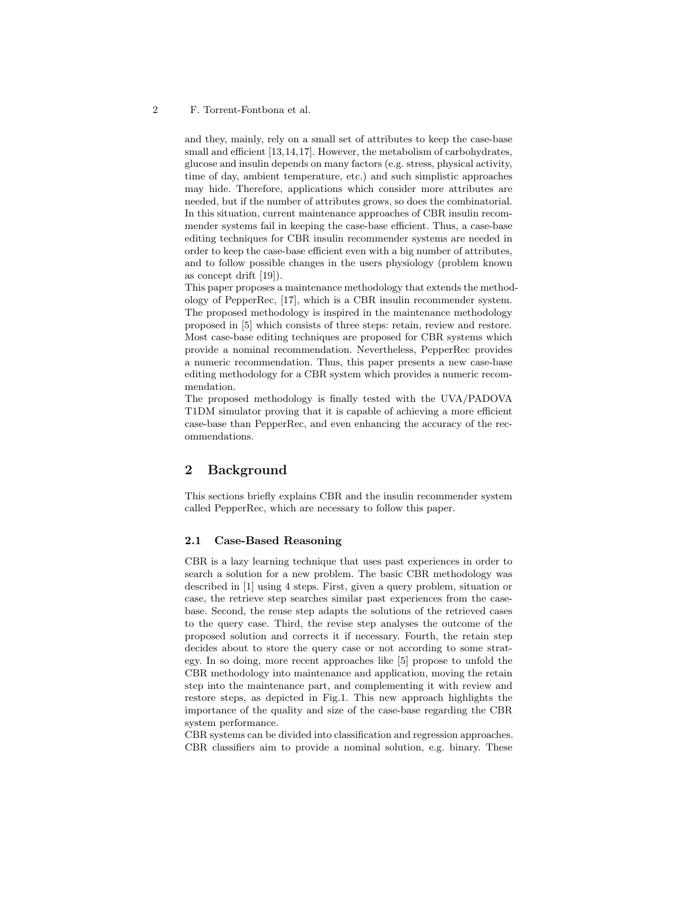#### 2 F. Torrent-Fontbona et al.

and they, mainly, rely on a small set of attributes to keep the case-base small and efficient [13,14,17]. However, the metabolism of carbohydrates, glucose and insulin depends on many factors (e.g. stress, physical activity, time of day, ambient temperature, etc.) and such simplistic approaches may hide. Therefore, applications which consider more attributes are needed, but if the number of attributes grows, so does the combinatorial. In this situation, current maintenance approaches of CBR insulin recommender systems fail in keeping the case-base efficient. Thus, a case-base editing techniques for CBR insulin recommender systems are needed in order to keep the case-base efficient even with a big number of attributes, and to follow possible changes in the users physiology (problem known as concept drift [19]).

This paper proposes a maintenance methodology that extends the methodology of PepperRec, [17], which is a CBR insulin recommender system. The proposed methodology is inspired in the maintenance methodology proposed in [5] which consists of three steps: retain, review and restore. Most case-base editing techniques are proposed for CBR systems which provide a nominal recommendation. Nevertheless, PepperRec provides a numeric recommendation. Thus, this paper presents a new case-base editing methodology for a CBR system which provides a numeric recommendation.

The proposed methodology is finally tested with the UVA/PADOVA T1DM simulator proving that it is capable of achieving a more efficient case-base than PepperRec, and even enhancing the accuracy of the recommendations.

# 2 Background

This sections briefly explains CBR and the insulin recommender system called PepperRec, which are necessary to follow this paper.

### 2.1 Case-Based Reasoning

CBR is a lazy learning technique that uses past experiences in order to search a solution for a new problem. The basic CBR methodology was described in [1] using 4 steps. First, given a query problem, situation or case, the retrieve step searches similar past experiences from the casebase. Second, the reuse step adapts the solutions of the retrieved cases to the query case. Third, the revise step analyses the outcome of the proposed solution and corrects it if necessary. Fourth, the retain step decides about to store the query case or not according to some strategy. In so doing, more recent approaches like [5] propose to unfold the CBR methodology into maintenance and application, moving the retain step into the maintenance part, and complementing it with review and restore steps, as depicted in Fig.1. This new approach highlights the importance of the quality and size of the case-base regarding the CBR system performance.

CBR systems can be divided into classification and regression approaches. CBR classifiers aim to provide a nominal solution, e.g. binary. These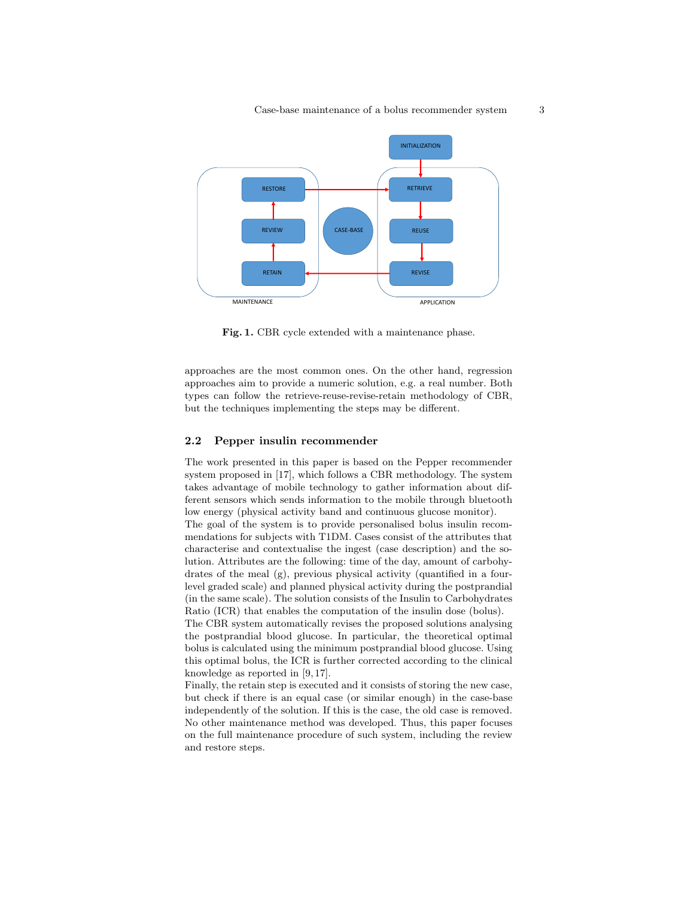

Fig. 1. CBR cycle extended with a maintenance phase.

approaches are the most common ones. On the other hand, regression approaches aim to provide a numeric solution, e.g. a real number. Both types can follow the retrieve-reuse-revise-retain methodology of CBR, but the techniques implementing the steps may be different.

### 2.2 Pepper insulin recommender

The work presented in this paper is based on the Pepper recommender system proposed in [17], which follows a CBR methodology. The system takes advantage of mobile technology to gather information about different sensors which sends information to the mobile through bluetooth low energy (physical activity band and continuous glucose monitor).

The goal of the system is to provide personalised bolus insulin recommendations for subjects with T1DM. Cases consist of the attributes that characterise and contextualise the ingest (case description) and the solution. Attributes are the following: time of the day, amount of carbohydrates of the meal (g), previous physical activity (quantified in a fourlevel graded scale) and planned physical activity during the postprandial (in the same scale). The solution consists of the Insulin to Carbohydrates Ratio (ICR) that enables the computation of the insulin dose (bolus).

The CBR system automatically revises the proposed solutions analysing the postprandial blood glucose. In particular, the theoretical optimal bolus is calculated using the minimum postprandial blood glucose. Using this optimal bolus, the ICR is further corrected according to the clinical knowledge as reported in [9, 17].

Finally, the retain step is executed and it consists of storing the new case, but check if there is an equal case (or similar enough) in the case-base independently of the solution. If this is the case, the old case is removed. No other maintenance method was developed. Thus, this paper focuses on the full maintenance procedure of such system, including the review and restore steps.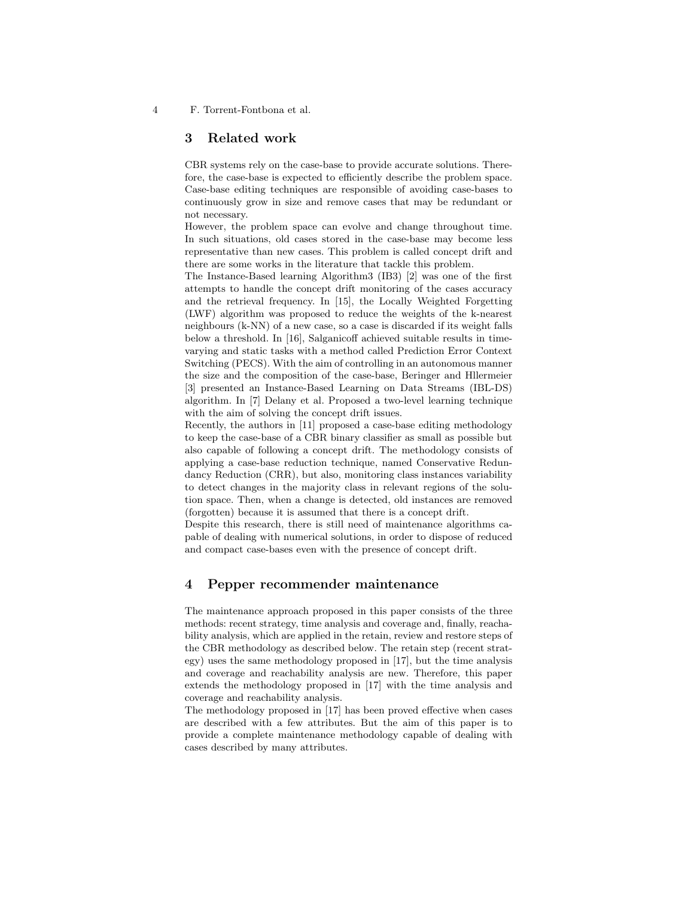4 F. Torrent-Fontbona et al.

### 3 Related work

CBR systems rely on the case-base to provide accurate solutions. Therefore, the case-base is expected to efficiently describe the problem space. Case-base editing techniques are responsible of avoiding case-bases to continuously grow in size and remove cases that may be redundant or not necessary.

However, the problem space can evolve and change throughout time. In such situations, old cases stored in the case-base may become less representative than new cases. This problem is called concept drift and there are some works in the literature that tackle this problem.

The Instance-Based learning Algorithm3 (IB3) [2] was one of the first attempts to handle the concept drift monitoring of the cases accuracy and the retrieval frequency. In [15], the Locally Weighted Forgetting (LWF) algorithm was proposed to reduce the weights of the k-nearest neighbours (k-NN) of a new case, so a case is discarded if its weight falls below a threshold. In [16], Salganicoff achieved suitable results in timevarying and static tasks with a method called Prediction Error Context Switching (PECS). With the aim of controlling in an autonomous manner the size and the composition of the case-base, Beringer and Hllermeier [3] presented an Instance-Based Learning on Data Streams (IBL-DS) algorithm. In [7] Delany et al. Proposed a two-level learning technique with the aim of solving the concept drift issues.

Recently, the authors in [11] proposed a case-base editing methodology to keep the case-base of a CBR binary classifier as small as possible but also capable of following a concept drift. The methodology consists of applying a case-base reduction technique, named Conservative Redundancy Reduction (CRR), but also, monitoring class instances variability to detect changes in the majority class in relevant regions of the solution space. Then, when a change is detected, old instances are removed (forgotten) because it is assumed that there is a concept drift.

Despite this research, there is still need of maintenance algorithms capable of dealing with numerical solutions, in order to dispose of reduced and compact case-bases even with the presence of concept drift.

# 4 Pepper recommender maintenance

The maintenance approach proposed in this paper consists of the three methods: recent strategy, time analysis and coverage and, finally, reachability analysis, which are applied in the retain, review and restore steps of the CBR methodology as described below. The retain step (recent strategy) uses the same methodology proposed in [17], but the time analysis and coverage and reachability analysis are new. Therefore, this paper extends the methodology proposed in [17] with the time analysis and coverage and reachability analysis.

The methodology proposed in [17] has been proved effective when cases are described with a few attributes. But the aim of this paper is to provide a complete maintenance methodology capable of dealing with cases described by many attributes.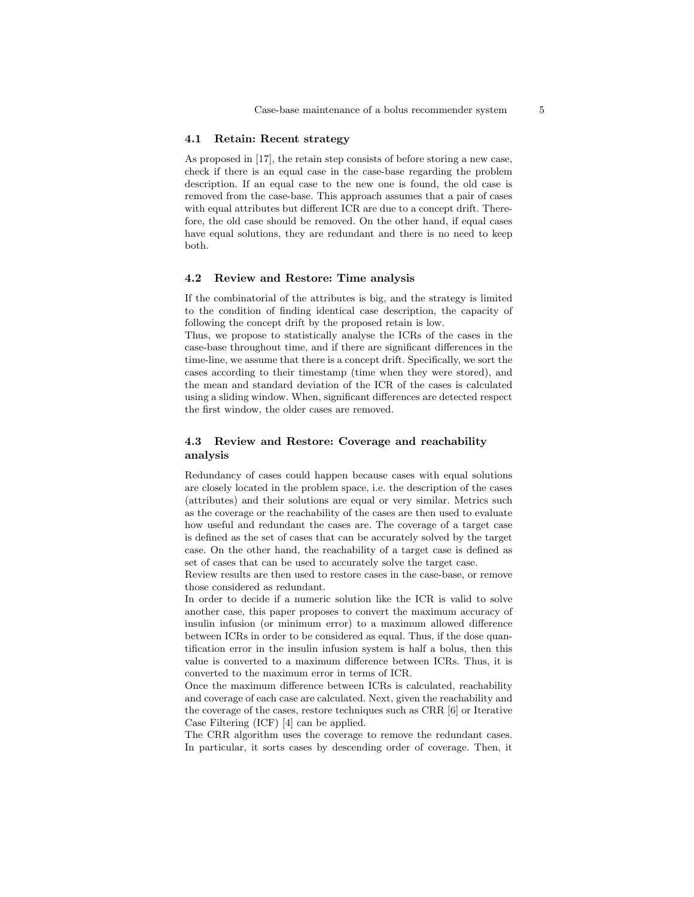#### 4.1 Retain: Recent strategy

As proposed in [17], the retain step consists of before storing a new case, check if there is an equal case in the case-base regarding the problem description. If an equal case to the new one is found, the old case is removed from the case-base. This approach assumes that a pair of cases with equal attributes but different ICR are due to a concept drift. Therefore, the old case should be removed. On the other hand, if equal cases have equal solutions, they are redundant and there is no need to keep both.

#### 4.2 Review and Restore: Time analysis

If the combinatorial of the attributes is big, and the strategy is limited to the condition of finding identical case description, the capacity of following the concept drift by the proposed retain is low.

Thus, we propose to statistically analyse the ICRs of the cases in the case-base throughout time, and if there are significant differences in the time-line, we assume that there is a concept drift. Specifically, we sort the cases according to their timestamp (time when they were stored), and the mean and standard deviation of the ICR of the cases is calculated using a sliding window. When, significant differences are detected respect the first window, the older cases are removed.

### 4.3 Review and Restore: Coverage and reachability analysis

Redundancy of cases could happen because cases with equal solutions are closely located in the problem space, i.e. the description of the cases (attributes) and their solutions are equal or very similar. Metrics such as the coverage or the reachability of the cases are then used to evaluate how useful and redundant the cases are. The coverage of a target case is defined as the set of cases that can be accurately solved by the target case. On the other hand, the reachability of a target case is defined as set of cases that can be used to accurately solve the target case.

Review results are then used to restore cases in the case-base, or remove those considered as redundant.

In order to decide if a numeric solution like the ICR is valid to solve another case, this paper proposes to convert the maximum accuracy of insulin infusion (or minimum error) to a maximum allowed difference between ICRs in order to be considered as equal. Thus, if the dose quantification error in the insulin infusion system is half a bolus, then this value is converted to a maximum difference between ICRs. Thus, it is converted to the maximum error in terms of ICR.

Once the maximum difference between ICRs is calculated, reachability and coverage of each case are calculated. Next, given the reachability and the coverage of the cases, restore techniques such as CRR [6] or Iterative Case Filtering (ICF) [4] can be applied.

The CRR algorithm uses the coverage to remove the redundant cases. In particular, it sorts cases by descending order of coverage. Then, it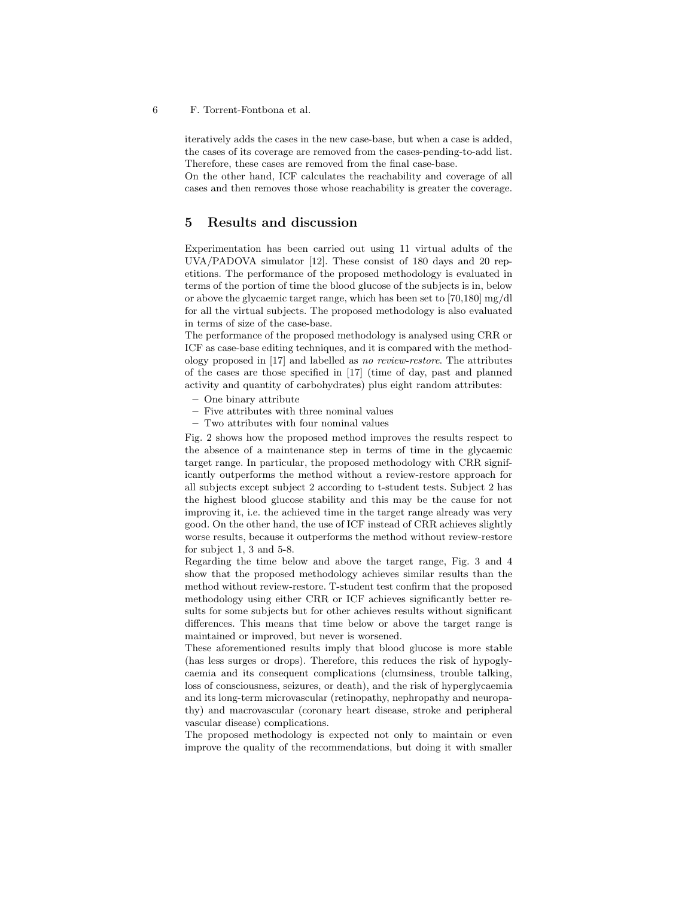6 F. Torrent-Fontbona et al.

iteratively adds the cases in the new case-base, but when a case is added, the cases of its coverage are removed from the cases-pending-to-add list. Therefore, these cases are removed from the final case-base.

On the other hand, ICF calculates the reachability and coverage of all cases and then removes those whose reachability is greater the coverage.

# 5 Results and discussion

Experimentation has been carried out using 11 virtual adults of the UVA/PADOVA simulator [12]. These consist of 180 days and 20 repetitions. The performance of the proposed methodology is evaluated in terms of the portion of time the blood glucose of the subjects is in, below or above the glycaemic target range, which has been set to [70,180] mg/dl for all the virtual subjects. The proposed methodology is also evaluated in terms of size of the case-base.

The performance of the proposed methodology is analysed using CRR or ICF as case-base editing techniques, and it is compared with the methodology proposed in [17] and labelled as no review-restore. The attributes of the cases are those specified in [17] (time of day, past and planned activity and quantity of carbohydrates) plus eight random attributes:

- One binary attribute
- Five attributes with three nominal values
- Two attributes with four nominal values

Fig. 2 shows how the proposed method improves the results respect to the absence of a maintenance step in terms of time in the glycaemic target range. In particular, the proposed methodology with CRR significantly outperforms the method without a review-restore approach for all subjects except subject 2 according to t-student tests. Subject 2 has the highest blood glucose stability and this may be the cause for not improving it, i.e. the achieved time in the target range already was very good. On the other hand, the use of ICF instead of CRR achieves slightly worse results, because it outperforms the method without review-restore for subject 1, 3 and 5-8.

Regarding the time below and above the target range, Fig. 3 and 4 show that the proposed methodology achieves similar results than the method without review-restore. T-student test confirm that the proposed methodology using either CRR or ICF achieves significantly better results for some subjects but for other achieves results without significant differences. This means that time below or above the target range is maintained or improved, but never is worsened.

These aforementioned results imply that blood glucose is more stable (has less surges or drops). Therefore, this reduces the risk of hypoglycaemia and its consequent complications (clumsiness, trouble talking, loss of consciousness, seizures, or death), and the risk of hyperglycaemia and its long-term microvascular (retinopathy, nephropathy and neuropathy) and macrovascular (coronary heart disease, stroke and peripheral vascular disease) complications.

The proposed methodology is expected not only to maintain or even improve the quality of the recommendations, but doing it with smaller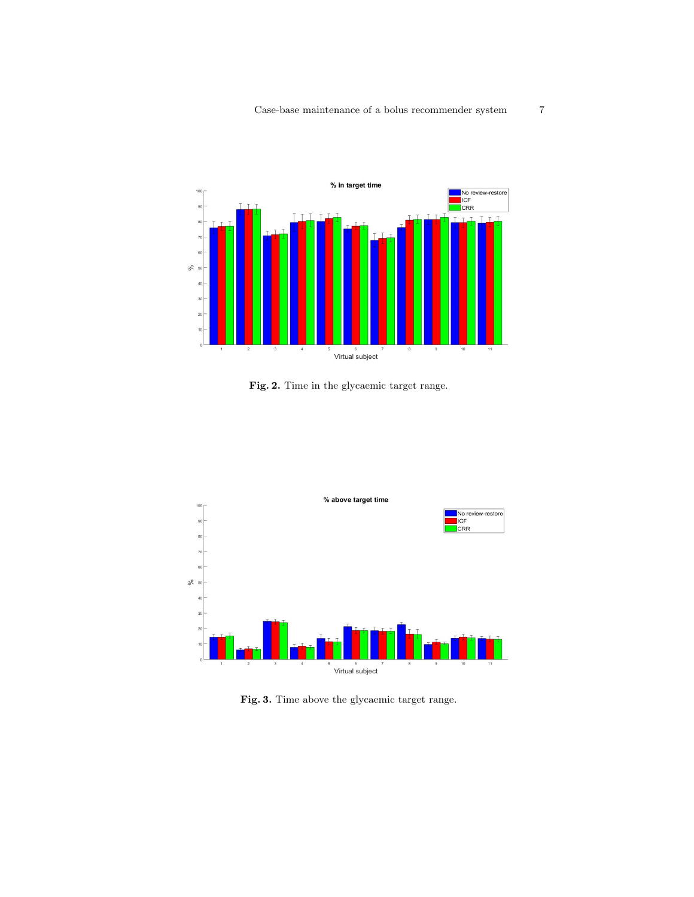

Fig. 2. Time in the glycaemic target range.



Fig. 3. Time above the glycaemic target range.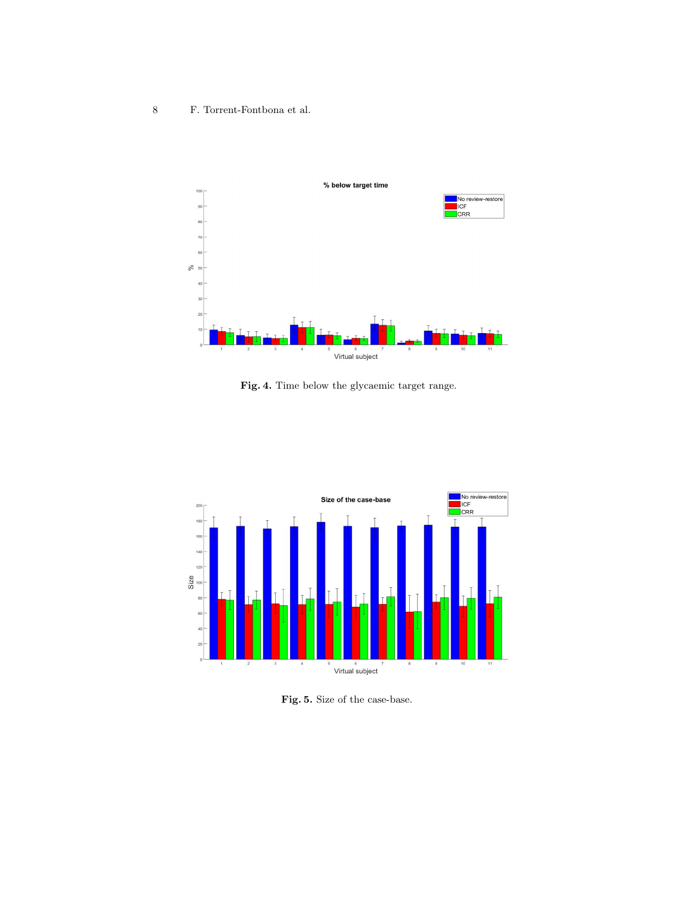

Fig. 4. Time below the glycaemic target range.



Fig. 5. Size of the case-base.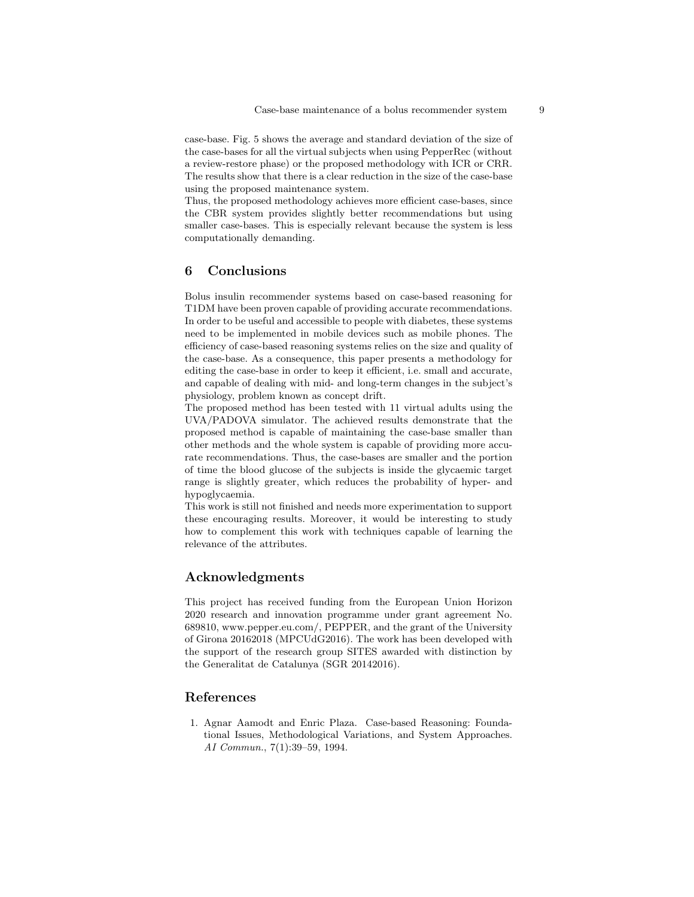case-base. Fig. 5 shows the average and standard deviation of the size of the case-bases for all the virtual subjects when using PepperRec (without a review-restore phase) or the proposed methodology with ICR or CRR. The results show that there is a clear reduction in the size of the case-base using the proposed maintenance system.

Thus, the proposed methodology achieves more efficient case-bases, since the CBR system provides slightly better recommendations but using smaller case-bases. This is especially relevant because the system is less computationally demanding.

# 6 Conclusions

Bolus insulin recommender systems based on case-based reasoning for T1DM have been proven capable of providing accurate recommendations. In order to be useful and accessible to people with diabetes, these systems need to be implemented in mobile devices such as mobile phones. The efficiency of case-based reasoning systems relies on the size and quality of the case-base. As a consequence, this paper presents a methodology for editing the case-base in order to keep it efficient, i.e. small and accurate, and capable of dealing with mid- and long-term changes in the subject's physiology, problem known as concept drift.

The proposed method has been tested with 11 virtual adults using the UVA/PADOVA simulator. The achieved results demonstrate that the proposed method is capable of maintaining the case-base smaller than other methods and the whole system is capable of providing more accurate recommendations. Thus, the case-bases are smaller and the portion of time the blood glucose of the subjects is inside the glycaemic target range is slightly greater, which reduces the probability of hyper- and hypoglycaemia.

This work is still not finished and needs more experimentation to support these encouraging results. Moreover, it would be interesting to study how to complement this work with techniques capable of learning the relevance of the attributes.

# Acknowledgments

This project has received funding from the European Union Horizon 2020 research and innovation programme under grant agreement No. 689810, www.pepper.eu.com/, PEPPER, and the grant of the University of Girona 20162018 (MPCUdG2016). The work has been developed with the support of the research group SITES awarded with distinction by the Generalitat de Catalunya (SGR 20142016).

# References

1. Agnar Aamodt and Enric Plaza. Case-based Reasoning: Foundational Issues, Methodological Variations, and System Approaches. AI Commun., 7(1):39–59, 1994.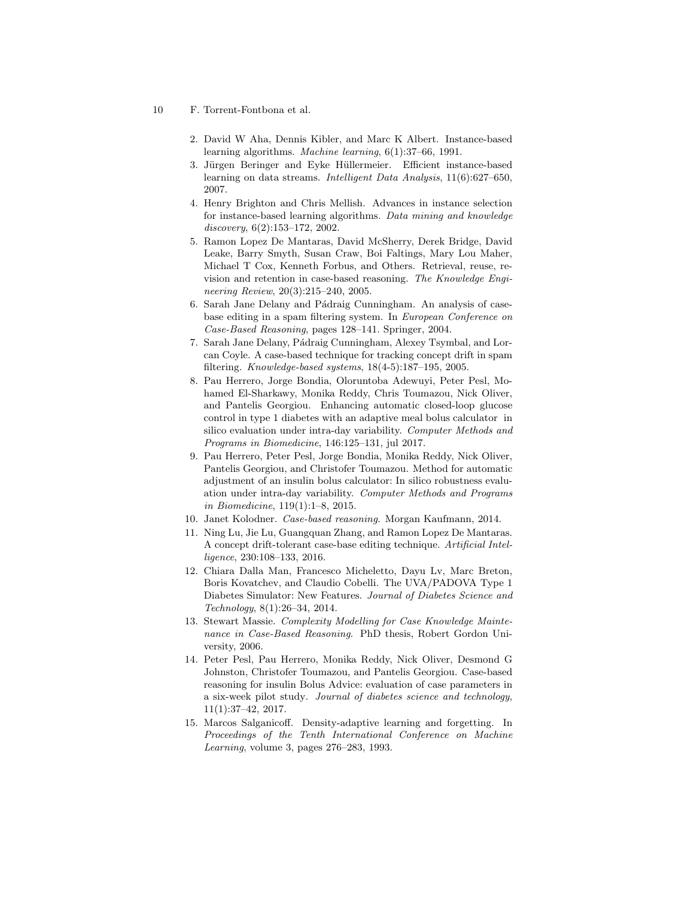- 10 F. Torrent-Fontbona et al.
	- 2. David W Aha, Dennis Kibler, and Marc K Albert. Instance-based learning algorithms. Machine learning, 6(1):37–66, 1991.
	- 3. Jürgen Beringer and Eyke Hüllermeier. Efficient instance-based learning on data streams. Intelligent Data Analysis, 11(6):627–650, 2007.
	- 4. Henry Brighton and Chris Mellish. Advances in instance selection for instance-based learning algorithms. Data mining and knowledge discovery, 6(2):153–172, 2002.
	- 5. Ramon Lopez De Mantaras, David McSherry, Derek Bridge, David Leake, Barry Smyth, Susan Craw, Boi Faltings, Mary Lou Maher, Michael T Cox, Kenneth Forbus, and Others. Retrieval, reuse, revision and retention in case-based reasoning. The Knowledge Engineering Review, 20(3):215–240, 2005.
	- 6. Sarah Jane Delany and Pádraig Cunningham. An analysis of casebase editing in a spam filtering system. In European Conference on Case-Based Reasoning, pages 128–141. Springer, 2004.
	- 7. Sarah Jane Delany, Pádraig Cunningham, Alexey Tsymbal, and Lorcan Coyle. A case-based technique for tracking concept drift in spam filtering. Knowledge-based systems, 18(4-5):187–195, 2005.
	- 8. Pau Herrero, Jorge Bondia, Oloruntoba Adewuyi, Peter Pesl, Mohamed El-Sharkawy, Monika Reddy, Chris Toumazou, Nick Oliver, and Pantelis Georgiou. Enhancing automatic closed-loop glucose control in type 1 diabetes with an adaptive meal bolus calculator in silico evaluation under intra-day variability. Computer Methods and Programs in Biomedicine, 146:125–131, jul 2017.
	- 9. Pau Herrero, Peter Pesl, Jorge Bondia, Monika Reddy, Nick Oliver, Pantelis Georgiou, and Christofer Toumazou. Method for automatic adjustment of an insulin bolus calculator: In silico robustness evaluation under intra-day variability. Computer Methods and Programs in Biomedicine, 119(1):1–8, 2015.
	- 10. Janet Kolodner. Case-based reasoning. Morgan Kaufmann, 2014.
	- 11. Ning Lu, Jie Lu, Guangquan Zhang, and Ramon Lopez De Mantaras. A concept drift-tolerant case-base editing technique. Artificial Intelligence, 230:108–133, 2016.
	- 12. Chiara Dalla Man, Francesco Micheletto, Dayu Lv, Marc Breton, Boris Kovatchev, and Claudio Cobelli. The UVA/PADOVA Type 1 Diabetes Simulator: New Features. Journal of Diabetes Science and Technology, 8(1):26–34, 2014.
	- 13. Stewart Massie. Complexity Modelling for Case Knowledge Maintenance in Case-Based Reasoning. PhD thesis, Robert Gordon University, 2006.
	- 14. Peter Pesl, Pau Herrero, Monika Reddy, Nick Oliver, Desmond G Johnston, Christofer Toumazou, and Pantelis Georgiou. Case-based reasoning for insulin Bolus Advice: evaluation of case parameters in a six-week pilot study. Journal of diabetes science and technology, 11(1):37–42, 2017.
	- 15. Marcos Salganicoff. Density-adaptive learning and forgetting. In Proceedings of the Tenth International Conference on Machine Learning, volume 3, pages 276–283, 1993.